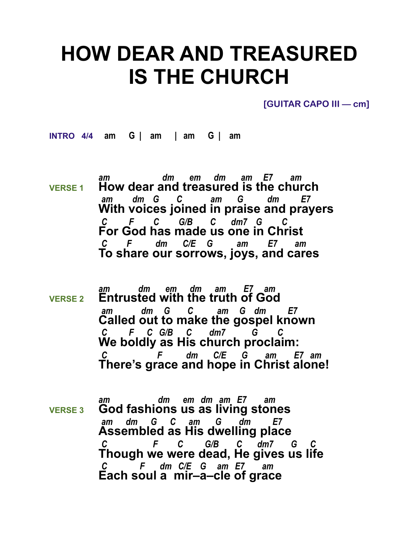## **HOW DEAR AND TREASURED IS THE CHURCH**

**[GUITAR CAPO III — cm]** 

**INTRO 4/4 am G | am | am G | am** 

- *am dm em dm am E7 am* **VERSE 1 How dear and treasured is the church**  *am dm G C am G dm E7* **With voices joined in praise and prayers** *C F C G/B C dm7 G C*  **For God has made us one in Christ** *C F dm C/E G am E7 am*  **To share our sorrows, joys, and cares**
- *am dm em dm am E7 am* **VERSE 2 Entrusted with the truth of God**  *am dm G C am G dm E7* **Called out to make the gospel known** *C F C G/B C dm7 G C*  **We boldly as His church proclaim:** *C F dm C/E G am E7 am*  **There's grace and hope in Christ alone!**
- *am dm em dm am E7 am* **VERSE 3 God fashions us as living stones**  *am dm G C am G dm E7* **Assembled as His dwelling place** *C F C G/B C dm7 G C*  **Though we were dead, He gives us life** *C F dm C/E G am E7 am*  **Each soul a mir–a–cle of grace**